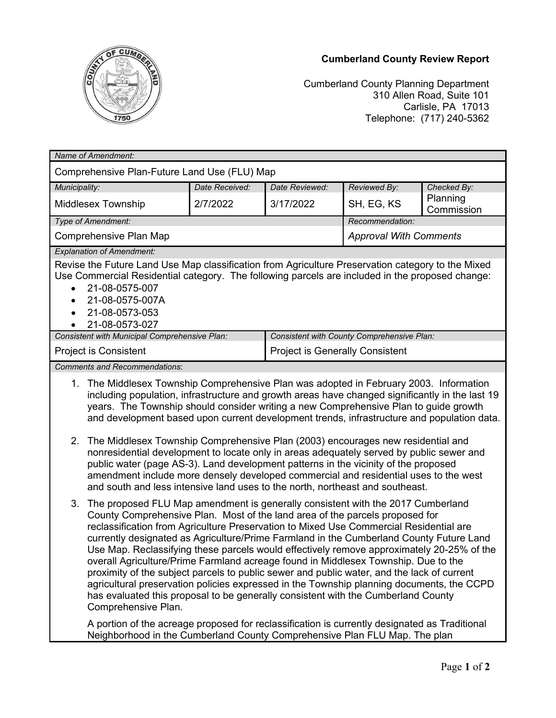



Cumberland County Planning Department 310 Allen Road, Suite 101 Carlisle, PA 17013 Telephone: (717) 240-5362

| Name of Amendment:                                                                                                                                                                                                                                                                                                                                                                                                                                                                                                                                                                                                                                                                                                                                                                                                                                |                |                                            |                               |                        |
|---------------------------------------------------------------------------------------------------------------------------------------------------------------------------------------------------------------------------------------------------------------------------------------------------------------------------------------------------------------------------------------------------------------------------------------------------------------------------------------------------------------------------------------------------------------------------------------------------------------------------------------------------------------------------------------------------------------------------------------------------------------------------------------------------------------------------------------------------|----------------|--------------------------------------------|-------------------------------|------------------------|
| Comprehensive Plan-Future Land Use (FLU) Map                                                                                                                                                                                                                                                                                                                                                                                                                                                                                                                                                                                                                                                                                                                                                                                                      |                |                                            |                               |                        |
| Municipality:                                                                                                                                                                                                                                                                                                                                                                                                                                                                                                                                                                                                                                                                                                                                                                                                                                     | Date Received: | Date Reviewed:                             | Reviewed By:                  | Checked By:            |
| <b>Middlesex Township</b>                                                                                                                                                                                                                                                                                                                                                                                                                                                                                                                                                                                                                                                                                                                                                                                                                         | 2/7/2022       | 3/17/2022                                  | SH, EG, KS                    | Planning<br>Commission |
| Type of Amendment:                                                                                                                                                                                                                                                                                                                                                                                                                                                                                                                                                                                                                                                                                                                                                                                                                                |                |                                            | Recommendation:               |                        |
| <b>Comprehensive Plan Map</b>                                                                                                                                                                                                                                                                                                                                                                                                                                                                                                                                                                                                                                                                                                                                                                                                                     |                |                                            | <b>Approval With Comments</b> |                        |
| <b>Explanation of Amendment:</b><br>Revise the Future Land Use Map classification from Agriculture Preservation category to the Mixed<br>Use Commercial Residential category. The following parcels are included in the proposed change:<br>21-08-0575-007<br>21-08-0575-007A<br>21-08-0573-053<br>$\bullet$<br>21-08-0573-027                                                                                                                                                                                                                                                                                                                                                                                                                                                                                                                    |                |                                            |                               |                        |
| Consistent with Municipal Comprehensive Plan:                                                                                                                                                                                                                                                                                                                                                                                                                                                                                                                                                                                                                                                                                                                                                                                                     |                | Consistent with County Comprehensive Plan: |                               |                        |
| <b>Project is Consistent</b>                                                                                                                                                                                                                                                                                                                                                                                                                                                                                                                                                                                                                                                                                                                                                                                                                      |                | <b>Project is Generally Consistent</b>     |                               |                        |
| <b>Comments and Recommendations:</b>                                                                                                                                                                                                                                                                                                                                                                                                                                                                                                                                                                                                                                                                                                                                                                                                              |                |                                            |                               |                        |
| 1. The Middlesex Township Comprehensive Plan was adopted in February 2003. Information<br>including population, infrastructure and growth areas have changed significantly in the last 19<br>years. The Township should consider writing a new Comprehensive Plan to guide growth<br>and development based upon current development trends, infrastructure and population data.<br>2. The Middlesex Township Comprehensive Plan (2003) encourages new residential and<br>nonresidential development to locate only in areas adequately served by public sewer and<br>public water (page AS-3). Land development patterns in the vicinity of the proposed<br>amendment include more densely developed commercial and residential uses to the west<br>and south and less intensive land uses to the north, northeast and southeast.                 |                |                                            |                               |                        |
| 3. The proposed FLU Map amendment is generally consistent with the 2017 Cumberland<br>County Comprehensive Plan. Most of the land area of the parcels proposed for<br>reclassification from Agriculture Preservation to Mixed Use Commercial Residential are<br>currently designated as Agriculture/Prime Farmland in the Cumberland County Future Land<br>Use Map. Reclassifying these parcels would effectively remove approximately 20-25% of the<br>overall Agriculture/Prime Farmland acreage found in Middlesex Township. Due to the<br>proximity of the subject parcels to public sewer and public water, and the lack of current<br>agricultural preservation policies expressed in the Township planning documents, the CCPD<br>has evaluated this proposal to be generally consistent with the Cumberland County<br>Comprehensive Plan. |                |                                            |                               |                        |

A portion of the acreage proposed for reclassification is currently designated as Traditional Neighborhood in the Cumberland County Comprehensive Plan FLU Map. The plan